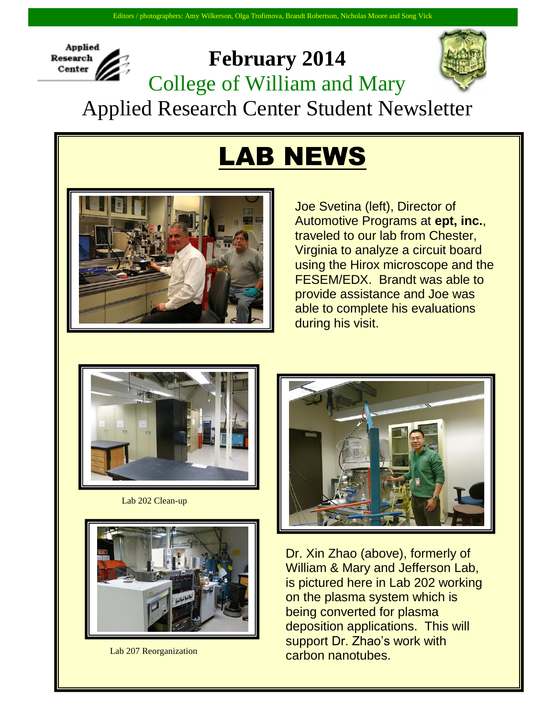

## **February 2014** College of William and Mary



Applied Research Center Student Newsletter

## LAB NEWS



Joe Svetina (left), Director of Automotive Programs at **ept, inc.**, traveled to our lab from Chester, Virginia to analyze a circuit board using the Hirox microscope and the FESEM/EDX. Brandt was able to provide assistance and Joe was able to complete his evaluations during his visit.



Lab 202 Clean-up



Lab 207 Reorganization



Dr. Xin Zhao (above), formerly of William & Mary and Jefferson Lab, is pictured here in Lab 202 working on the plasma system which is being converted for plasma deposition applications. This will support Dr. Zhao's work with carbon nanotubes.